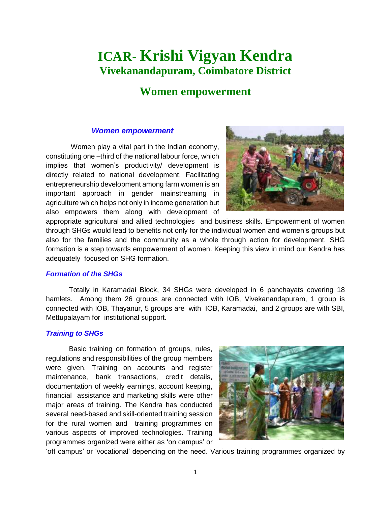# **ICAR- Krishi Vigyan Kendra Vivekanandapuram, Coimbatore District**

# **Women empowerment**

### *Women empowerment*

 Women play a vital part in the Indian economy, constituting one –third of the national labour force, which implies that women's productivity/ development is directly related to national development. Facilitating entrepreneurship development among farm women is an important approach in gender mainstreaming in agriculture which helps not only in income generation but also empowers them along with development of



appropriate agricultural and allied technologies and business skills. Empowerment of women through SHGs would lead to benefits not only for the individual women and women's groups but also for the families and the community as a whole through action for development. SHG formation is a step towards empowerment of women. Keeping this view in mind our Kendra has adequately focused on SHG formation.

# *Formation of the SHGs*

 Totally in Karamadai Block, 34 SHGs were developed in 6 panchayats covering 18 hamlets. Among them 26 groups are connected with IOB, Vivekanandapuram, 1 group is connected with IOB, Thayanur, 5 groups are with IOB, Karamadai, and 2 groups are with SBI, Mettupalayam for institutional support.

# *Training to SHGs*

Basic training on formation of groups, rules, regulations and responsibilities of the group members were given. Training on accounts and register maintenance, bank transactions, credit details, documentation of weekly earnings, account keeping, financial assistance and marketing skills were other major areas of training. The Kendra has conducted several need-based and skill-oriented training session for the rural women and training programmes on various aspects of improved technologies. Training programmes organized were either as 'on campus' or



'off campus' or 'vocational' depending on the need. Various training programmes organized by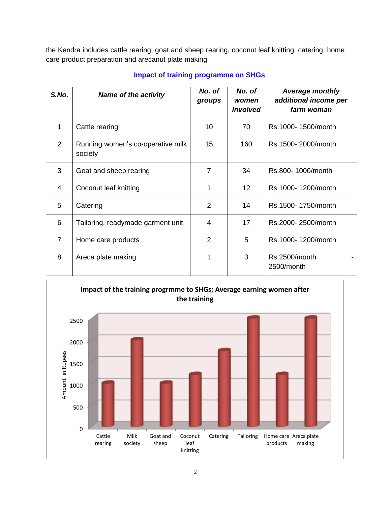the Kendra includes cattle rearing, goat and sheep rearing, coconut leaf knitting, catering, home care product preparation and arecanut plate making

| S.No.          | <b>Name of the activity</b>                  | No. of<br>groups | No. of<br>women<br>involved | <b>Average monthly</b><br>additional income per<br>farm woman |
|----------------|----------------------------------------------|------------------|-----------------------------|---------------------------------------------------------------|
| 1              | Cattle rearing                               | 10               | 70                          | Rs.1000-1500/month                                            |
| 2              | Running women's co-operative milk<br>society | 15               | 160                         | Rs.1500-2000/month                                            |
| 3              | Goat and sheep rearing                       | 7                | 34                          | Rs.800-1000/month                                             |
| 4              | Coconut leaf knitting                        | 1                | 12 <sup>2</sup>             | Rs.1000-1200/month                                            |
| 5              | Catering                                     | 2                | 14                          | Rs.1500-1750/month                                            |
| 6              | Tailoring, readymade garment unit            | 4                | 17                          | Rs.2000-2500/month                                            |
| $\overline{7}$ | Home care products                           | 2                | 5                           | Rs.1000-1200/month                                            |
| 8              | Areca plate making                           | 1                | 3                           | Rs.2500/month<br>2500/month                                   |

# **Impact of training programme on SHGs**

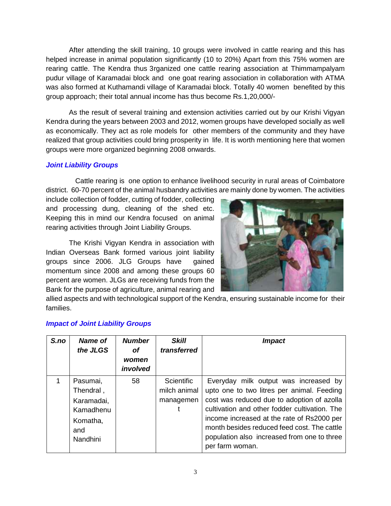After attending the skill training, 10 groups were involved in cattle rearing and this has helped increase in animal population significantly (10 to 20%) Apart from this 75% women are rearing cattle. The Kendra thus 3rganized one cattle rearing association at Thimmampalyam pudur village of Karamadai block and one goat rearing association in collaboration with ATMA was also formed at Kuthamandi village of Karamadai block. Totally 40 women benefited by this group approach; their total annual income has thus become Rs.1,20,000/-

 As the result of several training and extension activities carried out by our Krishi Vigyan Kendra during the years between 2003 and 2012, women groups have developed socially as well as economically. They act as role models for other members of the community and they have realized that group activities could bring prosperity in life. It is worth mentioning here that women groups were more organized beginning 2008 onwards.

# *Joint Liability Groups*

 Cattle rearing is one option to enhance livelihood security in rural areas of Coimbatore district. 60-70 percent of the animal husbandry activities are mainly done by women. The activities

include collection of fodder, cutting of fodder, collecting and processing dung, cleaning of the shed etc. Keeping this in mind our Kendra focused on animal rearing activities through Joint Liability Groups.

The Krishi Vigyan Kendra in association with Indian Overseas Bank formed various joint liability groups since 2006. JLG Groups have gained momentum since 2008 and among these groups 60 percent are women. JLGs are receiving funds from the Bank for the purpose of agriculture, animal rearing and



allied aspects and with technological support of the Kendra, ensuring sustainable income for their families.

| S.no | <b>Name of</b><br>the JLGS                                                             | <b>Number</b><br>οf<br>women<br>involved | <b>Skill</b><br>transferred             | <i><b>Impact</b></i>                                                                                                                                                                                                                                                                                                                              |
|------|----------------------------------------------------------------------------------------|------------------------------------------|-----------------------------------------|---------------------------------------------------------------------------------------------------------------------------------------------------------------------------------------------------------------------------------------------------------------------------------------------------------------------------------------------------|
|      | Pasumai,<br>Thendral,<br>Karamadai,<br>Kamadhenu<br>Komatha,<br>and<br><b>Nandhini</b> | 58                                       | Scientific<br>milch animal<br>managemen | Everyday milk output was increased by<br>upto one to two litres per animal. Feeding<br>cost was reduced due to adoption of azolla<br>cultivation and other fodder cultivation. The<br>income increased at the rate of Rs2000 per<br>month besides reduced feed cost. The cattle<br>population also increased from one to three<br>per farm woman. |

# *Impact of Joint Liability Groups*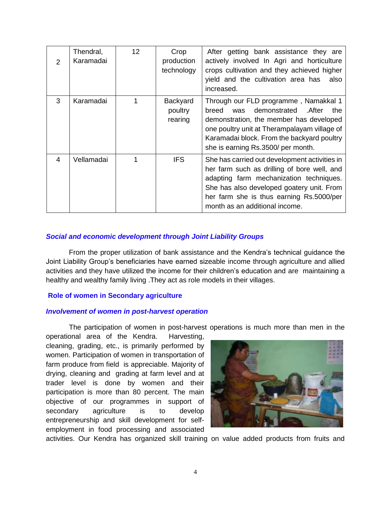| $\mathcal{P}$ | Thendral,<br>Karamadai | 12 | Crop<br>production<br>technology      | After getting bank assistance they are<br>actively involved In Agri and horticulture<br>crops cultivation and they achieved higher<br>yield and the cultivation area has<br>also<br>increased.                                                                        |
|---------------|------------------------|----|---------------------------------------|-----------------------------------------------------------------------------------------------------------------------------------------------------------------------------------------------------------------------------------------------------------------------|
| 3             | Karamadai              | 1  | <b>Backyard</b><br>poultry<br>rearing | Through our FLD programme, Namakkal 1<br>demonstrated<br>.After<br>the<br>breed<br>was<br>demonstration, the member has developed<br>one poultry unit at Therampalayam village of<br>Karamadai block. From the backyard poultry<br>she is earning Rs.3500/ per month. |
| 4             | Vellamadai             |    | <b>IFS</b>                            | She has carried out development activities in<br>her farm such as drilling of bore well, and<br>adapting farm mechanization techniques.<br>She has also developed goatery unit. From<br>her farm she is thus earning Rs.5000/per<br>month as an additional income.    |

# *Social and economic development through Joint Liability Groups*

 From the proper utilization of bank assistance and the Kendra's technical guidance the Joint Liability Group's beneficiaries have earned sizeable income through agriculture and allied activities and they have utilized the income for their children's education and are maintaining a healthy and wealthy family living .They act as role models in their villages.

### **Role of women in Secondary agriculture**

### *Involvement of women in post-harvest operation*

The participation of women in post-harvest operations is much more than men in the

operational area of the Kendra. Harvesting, cleaning, grading, etc., is primarily performed by women. Participation of women in transportation of farm produce from field is appreciable. Majority of drying, cleaning and grading at farm level and at trader level is done by women and their participation is more than 80 percent. The main objective of our programmes in support of secondary agriculture is to develop entrepreneurship and skill development for selfemployment in food processing and associated



activities. Our Kendra has organized skill training on value added products from fruits and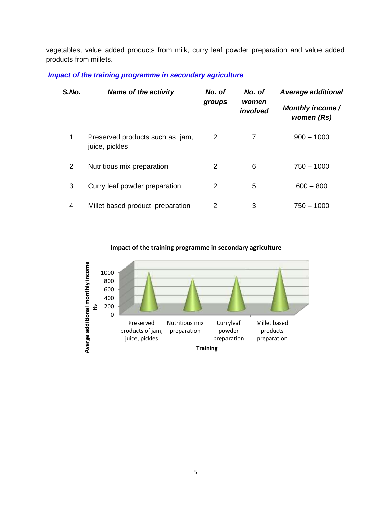vegetables, value added products from milk, curry leaf powder preparation and value added products from millets.

| S.No.          | <b>Name of the activity</b>                       | No. of<br>groups | No. of<br>women<br>involved | <b>Average additional</b><br><b>Monthly income/</b><br>women (Rs) |
|----------------|---------------------------------------------------|------------------|-----------------------------|-------------------------------------------------------------------|
| 1              | Preserved products such as jam,<br>juice, pickles | 2                | 7                           | $900 - 1000$                                                      |
| $\overline{2}$ | Nutritious mix preparation                        | 2                | 6                           | $750 - 1000$                                                      |
| 3              | Curry leaf powder preparation                     | 2                | 5                           | $600 - 800$                                                       |
| 4              | Millet based product preparation                  | 2                | 3                           | $750 - 1000$                                                      |

# *Impact of the training programme in secondary agriculture*

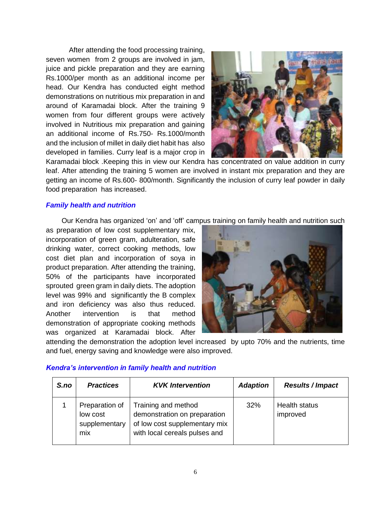After attending the food processing training, seven women from 2 groups are involved in jam, juice and pickle preparation and they are earning Rs.1000/per month as an additional income per head. Our Kendra has conducted eight method demonstrations on nutritious mix preparation in and around of Karamadai block. After the training 9 women from four different groups were actively involved in Nutritious mix preparation and gaining an additional income of Rs.750- Rs.1000/month and the inclusion of millet in daily diet habit has also developed in families. Curry leaf is a major crop in



Karamadai block .Keeping this in view our Kendra has concentrated on value addition in curry leaf. After attending the training 5 women are involved in instant mix preparation and they are getting an income of Rs.600- 800/month. Significantly the inclusion of curry leaf powder in daily food preparation has increased.

### *Family health and nutrition*

Our Kendra has organized 'on' and 'off' campus training on family health and nutrition such

as preparation of low cost supplementary mix, incorporation of green gram, adulteration, safe drinking water, correct cooking methods, low cost diet plan and incorporation of soya in product preparation. After attending the training, 50% of the participants have incorporated sprouted green gram in daily diets. The adoption level was 99% and significantly the B complex and iron deficiency was also thus reduced. Another intervention is that method demonstration of appropriate cooking methods was organized at Karamadai block. After



attending the demonstration the adoption level increased by upto 70% and the nutrients, time and fuel, energy saving and knowledge were also improved.

### *Kendra's intervention in family health and nutrition*

| S.no | <b>Practices</b>                                   | <b>KVK</b> Intervention                                                                                               | <b>Adaption</b> | <b>Results / Impact</b>   |
|------|----------------------------------------------------|-----------------------------------------------------------------------------------------------------------------------|-----------------|---------------------------|
|      | Preparation of<br>low cost<br>supplementary<br>mix | Training and method<br>demonstration on preparation<br>of low cost supplementary mix<br>with local cereals pulses and | 32%             | Health status<br>improved |